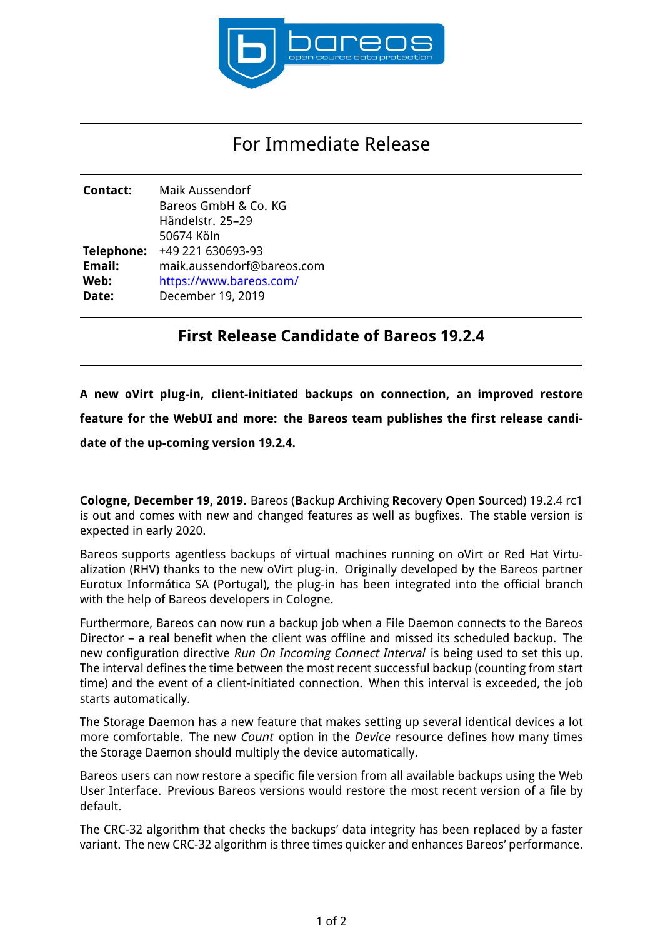

## For Immediate Release

| Contact:   | Maik Aussendorf<br>Bareos GmbH & Co. KG<br>Händelstr. 25-29 |
|------------|-------------------------------------------------------------|
|            | 50674 Köln                                                  |
| Telephone: | +49 221 630693-93                                           |
| Email:     | maik.aussendorf@bareos.com                                  |
| Web:       | https://www.bareos.com/                                     |
| Date:      | December 19, 2019                                           |

## **First Release Candidate of Bareos 19.2.4**

**A new oVirt plug-in, client-initiated backups on connection, an improved restore feature for the WebUI and more: the Bareos team publishes the first release candidate of the up-coming version 19.2.4.**

**Cologne, December 19, 2019.** Bareos (**B**ackup **A**rchiving **Re**covery **O**pen **S**ourced) 19.2.4 rc1 is out and comes with new and changed features as well as bugfixes. The stable version is expected in early 2020.

Bareos supports agentless backups of virtual machines running on oVirt or Red Hat Virtualization (RHV) thanks to the new oVirt plug-in. Originally developed by the Bareos partner Eurotux Informática SA (Portugal), the plug-in has been integrated into the official branch with the help of Bareos developers in Cologne.

Furthermore, Bareos can now run a backup job when a File Daemon connects to the Bareos Director – a real benefit when the client was offline and missed its scheduled backup. The new configuration directive Run On Incoming Connect Interval is being used to set this up. The interval defines the time between the most recent successful backup (counting from start time) and the event of a client-initiated connection. When this interval is exceeded, the job starts automatically.

The Storage Daemon has a new feature that makes setting up several identical devices a lot more comfortable. The new *Count* option in the *Device* resource defines how many times the Storage Daemon should multiply the device automatically.

Bareos users can now restore a specific file version from all available backups using the Web User Interface. Previous Bareos versions would restore the most recent version of a file by default.

The CRC-32 algorithm that checks the backups' data integrity has been replaced by a faster variant. The new CRC-32 algorithm is three times quicker and enhances Bareos' performance.